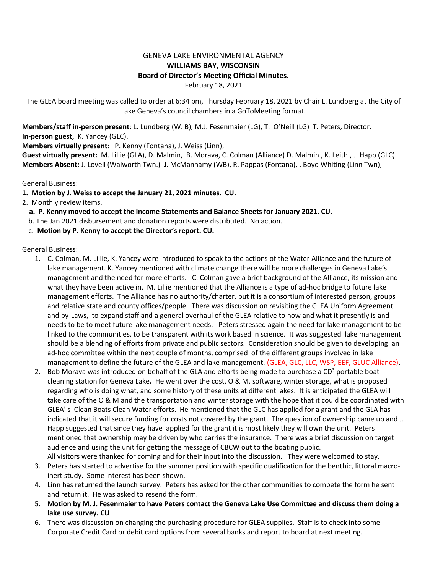## GENEVA LAKE ENVIRONMENTAL AGENCY **WILLIAMS BAY, WISCONSIN Board of Director's Meeting Official Minutes.** February 18, 2021

The GLEA board meeting was called to order at 6:34 pm, Thursday February 18, 2021 by Chair L. Lundberg at the City of Lake Geneva's council chambers in a GoToMeeting format.

**Members/staff in-person present**: L. Lundberg (W. B), M.J. Fesenmaier (LG), T. O'Neill (LG) T. Peters, Director. **In-person guest,** K. Yancey (GLC).

**Members virtually present**: P. Kenny (Fontana), J. Weiss (Linn),

**Guest virtually present:** M. Lillie (GLA), D. Malmin, B. Morava, C. Colman (Alliance) D. Malmin , K. Leith., J. Happ (GLC) **Members Absent:** J. Lovell (Walworth Twn.) **J**. McMannamy (WB), R. Pappas (Fontana), , Boyd Whiting (Linn Twn),

General Business:

**1. Motion by J. Weiss to accept the January 21, 2021 minutes. CU.** 

2. Monthly review items.

- **a. P. Kenny moved to accept the Income Statements and Balance Sheets for January 2021. CU.**
- b. The Jan 2021 disbursement and donation reports were distributed. No action.
- c. **Motion by P. Kenny to accept the Director's report. CU.**

General Business:

- 1. C. Colman, M. Lillie, K. Yancey were introduced to speak to the actions of the Water Alliance and the future of lake management. K. Yancey mentioned with climate change there will be more challenges in Geneva Lake's management and the need for more efforts. C. Colman gave a brief background of the Alliance, its mission and what they have been active in. M. Lillie mentioned that the Alliance is a type of ad-hoc bridge to future lake management efforts. The Alliance has no authority/charter, but it is a consortium of interested person, groups and relative state and county offices/people. There was discussion on revisiting the GLEA Uniform Agreement and by-Laws, to expand staff and a general overhaul of the GLEA relative to how and what it presently is and needs to be to meet future lake management needs. Peters stressed again the need for lake management to be linked to the communities, to be transparent with its work based in science. It was suggested lake management should be a blending of efforts from private and public sectors. Consideration should be given to developing an ad-hoc committee within the next couple of months, comprised of the different groups involved in lake management to define the future of the GLEA and lake management. (GLEA, GLC, LLC, WSP, EEF, GLUC Alliance)**.**
- 2. Bob Morava was introduced on behalf of the GLA and efforts being made to purchase a  $CD<sup>3</sup>$  portable boat cleaning station for Geneva Lake**.** He went over the cost, O & M, software, winter storage, what is proposed regarding who is doing what, and some history of these units at different lakes. It is anticipated the GLEA will take care of the O & M and the transportation and winter storage with the hope that it could be coordinated with GLEA' s Clean Boats Clean Water efforts. He mentioned that the GLC has applied for a grant and the GLA has indicated that it will secure funding for costs not covered by the grant. The question of ownership came up and J. Happ suggested that since they have applied for the grant it is most likely they will own the unit. Peters mentioned that ownership may be driven by who carries the insurance. There was a brief discussion on target audience and using the unit for getting the message of CBCW out to the boating public.

All visitors were thanked for coming and for their input into the discussion. They were welcomed to stay.

- 3. Peters has started to advertise for the summer position with specific qualification for the benthic, littoral macroinert study. Some interest has been shown.
- 4. Linn has returned the launch survey. Peters has asked for the other communities to compete the form he sent and return it. He was asked to resend the form.
- 5. **Motion by M. J. Fesenmaier to have Peters contact the Geneva Lake Use Committee and discuss them doing a lake use survey. CU**
- 6. There was discussion on changing the purchasing procedure for GLEA supplies. Staff is to check into some Corporate Credit Card or debit card options from several banks and report to board at next meeting.